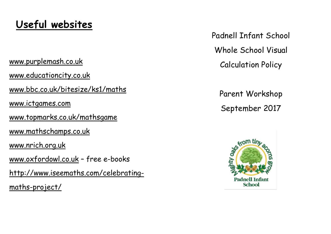[www.purplemash.co.uk](http://www.purplemash.co.uk/) [www.educationcity.co.uk](http://www.educationcity.com/autologin.php?t=MTU3NjR8ZW4xfDkxMGM4NzNkYzU3YTlhZGJhYzhkMjEyMTcxMmE0ZGZj) www.bbc.co.uk/bitesize/ks1/maths [www.ictgames.com](http://www.ictgames.com/) [www.topmarks.co.uk/mathsgame](http://www.topmarks.co.uk/mathsgamewww.mathschamps.co.uk) [www.mathschamps.co.uk](http://www.topmarks.co.uk/mathsgamewww.mathschamps.co.uk) www.nrich.org.uk [www.oxfordowl.co.uk](http://www.oxfordowl.co.uk/) – free e-books http://www.iseemaths.com/celebrating-

maths-project/

## **Useful websites**

Padnell Infant School



# Whole School Visual Calculation Policy

## Parent Workshop September 2017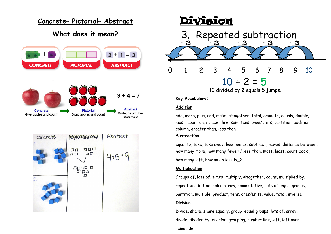### **Concrete– Pictorial– Abstract**

### **What does it mean?**







#### **Key Vocabulary:**

#### **Addition**

add, more, plus, and, make, altogether, total, equal to, equals, double, most, count on, number line, sum, tens, ones/units, partition, addition, column, greater than, less than **Subtraction**

equal to, take, take away, less, minus, subtract, leaves, distance between, how many more, how many fewer / less than, most, least, count back , how many left, how much less is\_?

#### **Multiplication**

Groups of, lots of, times, multiply, altogether, count, multiplied by, repeated addition, column, row, commutative, sets of, equal groups, partition, multiple, product, tens, ones/units, value, total, inverse **Division**

Divide, share, share equally, group, equal groups, lots of, array, divide, divided by, division, grouping, number line, left, left over, remainder

- 
-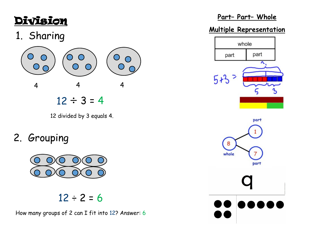## 1. Sharing



12 divided by 3 equals 4.

## 2. Grouping



## $12 \div 2 = 6$



How many groups of 2 can I fit into 12? Answer: 6

### **Part– Part– Whole**

### **Multiple Representation**



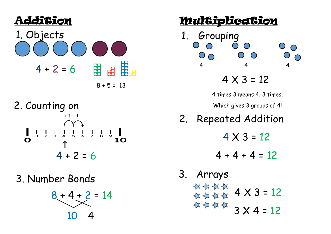

 $8 + 5 = 13$ 

2. Counting on  $+1$  + 1  $\overline{6}$  $\frac{1}{10}$  $4 + 2 = 6$ 

3. Number Bonds







## $4 \times 3 = 12$

- 
- 
- 
- 

1. Grouping  $\bigcirc$  $\bigcirc$  $\bigcirc$  $\circ$ 4 4 4

3. Arrays  $\begin{array}{c} 47444 & 4 \times 3 = 12 \\ 4144 & 4114 \end{array}$  $4444$  3  $\times$  4 = 12

Multiplication

4 times 3 means 4, 3 times.

Which gives 3 groups of 4!

2. Repeated Addition

 $4 \times 3 = 12$ 

 $4 + 4 + 4 = 12$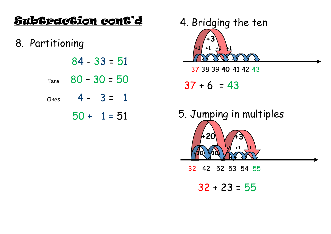## Subtraction cont'd

8. Partitioning

|      | $84 - 33 = 51$ |  |
|------|----------------|--|
| Tens | $80 - 30 = 50$ |  |
| Ones | $4 - 3 = 1$    |  |
|      | 50 + 1 = 51    |  |



37 38 39 40 41 42 43

 $37 + 6 = 43$ 

5. Jumping in multiples 420

32 42 52 53 54 55

 $32 + 23 = 55$ 







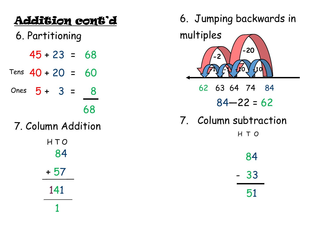## Addition cont'd 6. Partitioning  $45 + 23 = 68$

- Tens  $40 + 20 = 60$
- Ones  $5 + 3 = 8$

## 68

7. Column Addition

HTO 84  $+57$ 141 1



- $84 22 = 62$
- 7. Column subtraction
	- HTO
	- 84  $-33$ 51

- 
-